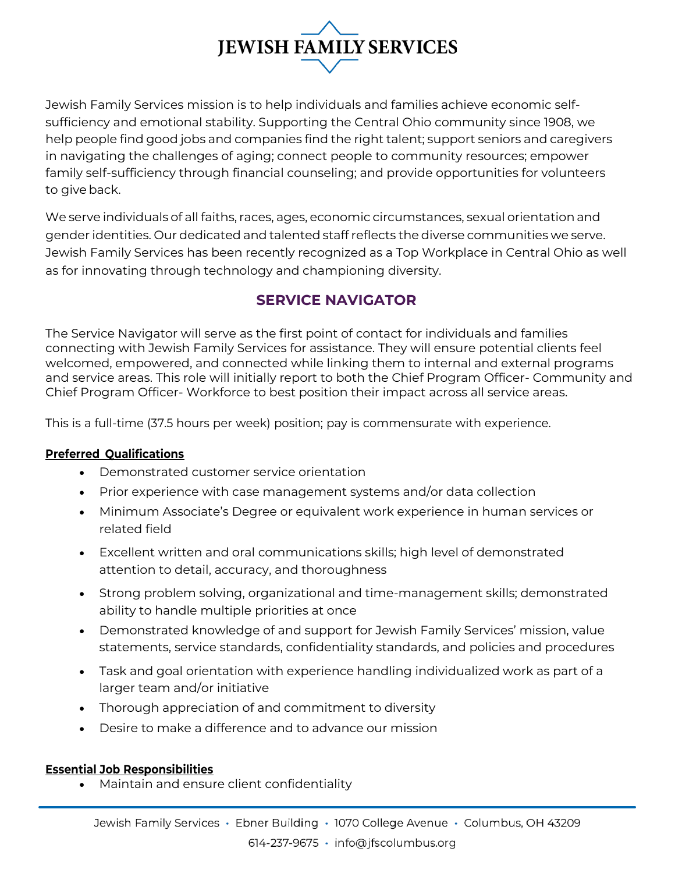# **JEWISH FAMILY SERVICES**

Jewish Family Services mission is to help individuals and families achieve economic selfsufficiency and emotional stability. Supporting the Central Ohio community since 1908, we help people find good jobs and companies find the right talent; support seniors and caregivers in navigating the challenges of aging; connect people to community resources; empower family self-sufficiency through financial counseling; and provide opportunities for volunteers to give back.

We serve individuals of all faiths, races, ages, economic circumstances, sexual orientation and gender identities. Our dedicated and talented staff reflects the diverse communities we serve. Jewish Family Services has been recently recognized as a Top Workplace in Central Ohio as well as for innovating through technology and championing diversity.

## **SERVICE NAVIGATOR**

The Service Navigator will serve as the first point of contact for individuals and families connecting with Jewish Family Services for assistance. They will ensure potential clients feel welcomed, empowered, and connected while linking them to internal and external programs and service areas. This role will initially report to both the Chief Program Officer- Community and Chief Program Officer- Workforce to best position their impact across all service areas.

This is a full-time (37.5 hours per week) position; pay is commensurate with experience.

### **Preferred Qualifications**

- Demonstrated customer service orientation
- Prior experience with case management systems and/or data collection
- Minimum Associate's Degree or equivalent work experience in human services or related field
- Excellent written and oral communications skills; high level of demonstrated attention to detail, accuracy, and thoroughness
- Strong problem solving, organizational and time-management skills; demonstrated ability to handle multiple priorities at once
- Demonstrated knowledge of and support for Jewish Family Services' mission, value statements, service standards, confidentiality standards, and policies and procedures
- Task and goal orientation with experience handling individualized work as part of a larger team and/or initiative
- Thorough appreciation of and commitment to diversity
- Desire to make a difference and to advance our mission

### **Essential Job Responsibilities**

• Maintain and ensure client confidentiality